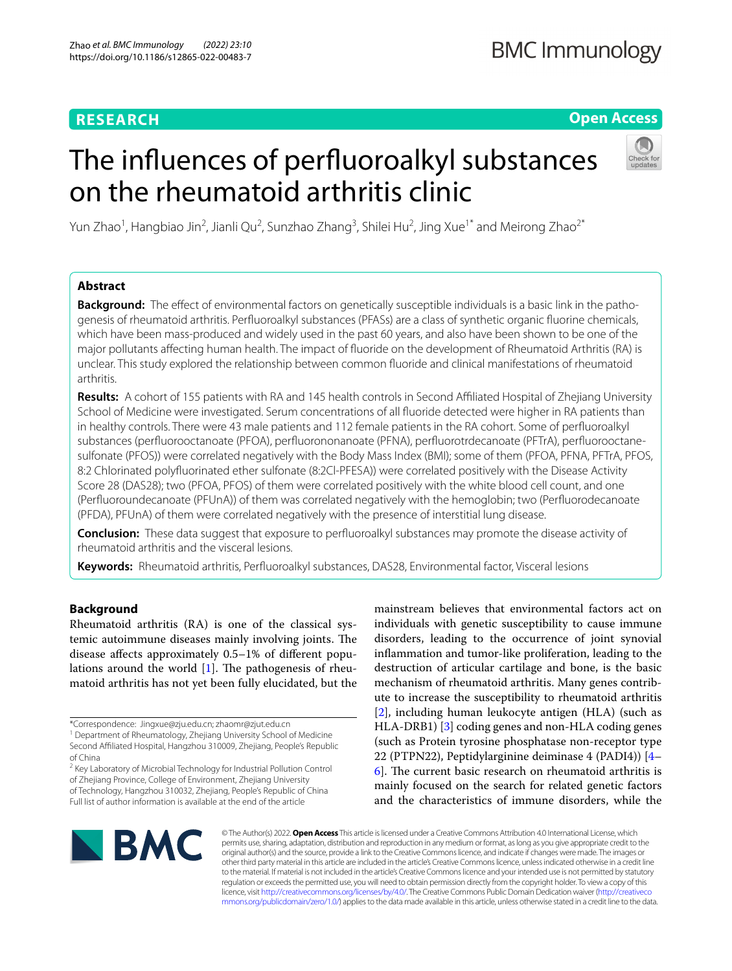# **RESEARCH**

# **Open Access**

# The infuences of perfuoroalkyl substances on the rheumatoid arthritis clinic



Yun Zhao<sup>1</sup>, Hangbiao Jin<sup>2</sup>, Jianli Qu<sup>2</sup>, Sunzhao Zhang<sup>3</sup>, Shilei Hu<sup>2</sup>, Jing Xue<sup>1\*</sup> and Meirong Zhao<sup>2\*</sup>

# **Abstract**

**Background:** The efect of environmental factors on genetically susceptible individuals is a basic link in the pathogenesis of rheumatoid arthritis. Perfuoroalkyl substances (PFASs) are a class of synthetic organic fuorine chemicals, which have been mass-produced and widely used in the past 60 years, and also have been shown to be one of the major pollutants afecting human health. The impact of fuoride on the development of Rheumatoid Arthritis (RA) is unclear. This study explored the relationship between common fuoride and clinical manifestations of rheumatoid arthritis.

**Results:** A cohort of 155 patients with RA and 145 health controls in Second Afliated Hospital of Zhejiang University School of Medicine were investigated. Serum concentrations of all fuoride detected were higher in RA patients than in healthy controls. There were 43 male patients and 112 female patients in the RA cohort. Some of perfuoroalkyl substances (perfuorooctanoate (PFOA), perfuorononanoate (PFNA), perfuorotrdecanoate (PFTrA), perfuorooctanesulfonate (PFOS)) were correlated negatively with the Body Mass Index (BMI); some of them (PFOA, PFNA, PFTrA, PFOS, 8:2 Chlorinated polyfuorinated ether sulfonate (8:2Cl-PFESA)) were correlated positively with the Disease Activity Score 28 (DAS28); two (PFOA, PFOS) of them were correlated positively with the white blood cell count, and one (Perfuoroundecanoate (PFUnA)) of them was correlated negatively with the hemoglobin; two (Perfuorodecanoate (PFDA), PFUnA) of them were correlated negatively with the presence of interstitial lung disease.

**Conclusion:** These data suggest that exposure to perfuoroalkyl substances may promote the disease activity of rheumatoid arthritis and the visceral lesions.

**Keywords:** Rheumatoid arthritis, Perfuoroalkyl substances, DAS28, Environmental factor, Visceral lesions

# **Background**

Rheumatoid arthritis (RA) is one of the classical systemic autoimmune diseases mainly involving joints. The disease afects approximately 0.5–1% of diferent populations around the world  $[1]$  $[1]$ . The pathogenesis of rheumatoid arthritis has not yet been fully elucidated, but the

mainstream believes that environmental factors act on individuals with genetic susceptibility to cause immune disorders, leading to the occurrence of joint synovial infammation and tumor-like proliferation, leading to the destruction of articular cartilage and bone, is the basic mechanism of rheumatoid arthritis. Many genes contribute to increase the susceptibility to rheumatoid arthritis [[2\]](#page-8-1), including human leukocyte antigen (HLA) (such as HLA-DRB1) [\[3](#page-8-2)] coding genes and non-HLA coding genes (such as Protein tyrosine phosphatase non-receptor type 22 (PTPN22), Peptidylarginine deiminase 4 (PADI4)) [[4–](#page-8-3)  $6$ ]. The current basic research on rheumatoid arthritis is mainly focused on the search for related genetic factors and the characteristics of immune disorders, while the



© The Author(s) 2022. **Open Access** This article is licensed under a Creative Commons Attribution 4.0 International License, which permits use, sharing, adaptation, distribution and reproduction in any medium or format, as long as you give appropriate credit to the original author(s) and the source, provide a link to the Creative Commons licence, and indicate if changes were made. The images or other third party material in this article are included in the article's Creative Commons licence, unless indicated otherwise in a credit line to the material. If material is not included in the article's Creative Commons licence and your intended use is not permitted by statutory regulation or exceeds the permitted use, you will need to obtain permission directly from the copyright holder. To view a copy of this licence, visit [http://creativecommons.org/licenses/by/4.0/.](http://creativecommons.org/licenses/by/4.0/) The Creative Commons Public Domain Dedication waiver ([http://creativeco](http://creativecommons.org/publicdomain/zero/1.0/) [mmons.org/publicdomain/zero/1.0/](http://creativecommons.org/publicdomain/zero/1.0/)) applies to the data made available in this article, unless otherwise stated in a credit line to the data.

<sup>\*</sup>Correspondence: Jingxue@zju.edu.cn; zhaomr@zjut.edu.cn

<sup>&</sup>lt;sup>1</sup> Department of Rheumatology, Zhejiang University School of Medicine Second Afliated Hospital, Hangzhou 310009, Zhejiang, People's Republic of China

<sup>&</sup>lt;sup>2</sup> Key Laboratory of Microbial Technology for Industrial Pollution Control of Zhejiang Province, College of Environment, Zhejiang University of Technology, Hangzhou 310032, Zhejiang, People's Republic of China Full list of author information is available at the end of the article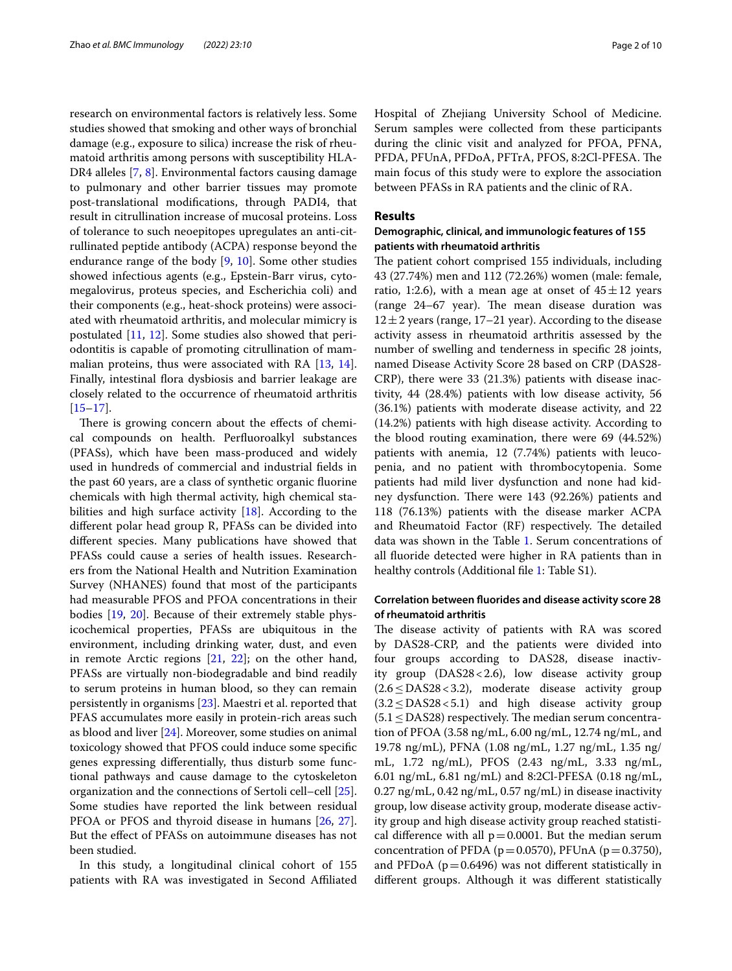research on environmental factors is relatively less. Some studies showed that smoking and other ways of bronchial damage (e.g., exposure to silica) increase the risk of rheumatoid arthritis among persons with susceptibility HLA-DR4 alleles [\[7](#page-8-5), [8](#page-8-6)]. Environmental factors causing damage to pulmonary and other barrier tissues may promote post-translational modifcations, through PADI4, that result in citrullination increase of mucosal proteins. Loss of tolerance to such neoepitopes upregulates an anti-citrullinated peptide antibody (ACPA) response beyond the endurance range of the body [\[9](#page-8-7), [10](#page-8-8)]. Some other studies showed infectious agents (e.g., Epstein-Barr virus, cytomegalovirus, proteus species, and Escherichia coli) and their components (e.g., heat-shock proteins) were associated with rheumatoid arthritis, and molecular mimicry is postulated [\[11,](#page-8-9) [12](#page-9-0)]. Some studies also showed that periodontitis is capable of promoting citrullination of mammalian proteins, thus were associated with RA [[13](#page-9-1), [14](#page-9-2)]. Finally, intestinal flora dysbiosis and barrier leakage are closely related to the occurrence of rheumatoid arthritis  $[15–17]$  $[15–17]$  $[15–17]$  $[15–17]$ .

There is growing concern about the effects of chemical compounds on health. Perfuoroalkyl substances (PFASs), which have been mass-produced and widely used in hundreds of commercial and industrial felds in the past 60 years, are a class of synthetic organic fuorine chemicals with high thermal activity, high chemical stabilities and high surface activity  $[18]$  $[18]$ . According to the diferent polar head group R, PFASs can be divided into diferent species. Many publications have showed that PFASs could cause a series of health issues. Researchers from the National Health and Nutrition Examination Survey (NHANES) found that most of the participants had measurable PFOS and PFOA concentrations in their bodies [\[19](#page-9-6), [20\]](#page-9-7). Because of their extremely stable physicochemical properties, PFASs are ubiquitous in the environment, including drinking water, dust, and even in remote Arctic regions [\[21](#page-9-8), [22\]](#page-9-9); on the other hand, PFASs are virtually non-biodegradable and bind readily to serum proteins in human blood, so they can remain persistently in organisms [[23\]](#page-9-10). Maestri et al. reported that PFAS accumulates more easily in protein-rich areas such as blood and liver [[24\]](#page-9-11). Moreover, some studies on animal toxicology showed that PFOS could induce some specifc genes expressing diferentially, thus disturb some functional pathways and cause damage to the cytoskeleton organization and the connections of Sertoli cell–cell [\[25](#page-9-12)]. Some studies have reported the link between residual PFOA or PFOS and thyroid disease in humans [[26,](#page-9-13) [27](#page-9-14)]. But the efect of PFASs on autoimmune diseases has not been studied.

In this study, a longitudinal clinical cohort of 155 patients with RA was investigated in Second Afliated

Hospital of Zhejiang University School of Medicine. Serum samples were collected from these participants during the clinic visit and analyzed for PFOA, PFNA, PFDA, PFUnA, PFDoA, PFTrA, PFOS, 8:2Cl-PFESA. The main focus of this study were to explore the association between PFASs in RA patients and the clinic of RA.

# **Results**

# **Demographic, clinical, and immunologic features of 155 patients with rheumatoid arthritis**

The patient cohort comprised 155 individuals, including 43 (27.74%) men and 112 (72.26%) women (male: female, ratio, 1:2.6), with a mean age at onset of  $45 \pm 12$  years  $(range<sub>24–67</sub> year). The mean disease duration was$  $12 \pm 2$  years (range, 17–21 year). According to the disease activity assess in rheumatoid arthritis assessed by the number of swelling and tenderness in specifc 28 joints, named Disease Activity Score 28 based on CRP (DAS28- CRP), there were 33 (21.3%) patients with disease inactivity, 44 (28.4%) patients with low disease activity, 56 (36.1%) patients with moderate disease activity, and 22 (14.2%) patients with high disease activity. According to the blood routing examination, there were 69 (44.52%) patients with anemia, 12 (7.74%) patients with leucopenia, and no patient with thrombocytopenia. Some patients had mild liver dysfunction and none had kidney dysfunction. There were 143 (92.26%) patients and 118 (76.13%) patients with the disease marker ACPA and Rheumatoid Factor (RF) respectively. The detailed data was shown in the Table [1](#page-2-0). Serum concentrations of all fuoride detected were higher in RA patients than in healthy controls (Additional file [1](#page-8-10): Table S1).

# **Correlation between fuorides and disease activity score 28 of rheumatoid arthritis**

The disease activity of patients with RA was scored by DAS28-CRP, and the patients were divided into four groups according to DAS28, disease inactivity group (DAS28<2.6), low disease activity group (2.6≤DAS28<3.2), moderate disease activity group (3.2≤DAS28<5.1) and high disease activity group  $(5.1 \leq$  DAS28) respectively. The median serum concentration of PFOA (3.58 ng/mL, 6.00 ng/mL, 12.74 ng/mL, and 19.78 ng/mL), PFNA (1.08 ng/mL, 1.27 ng/mL, 1.35 ng/ mL, 1.72 ng/mL), PFOS (2.43 ng/mL, 3.33 ng/mL, 6.01 ng/mL, 6.81 ng/mL) and 8:2Cl-PFESA (0.18 ng/mL, 0.27 ng/mL, 0.42 ng/mL, 0.57 ng/mL) in disease inactivity group, low disease activity group, moderate disease activity group and high disease activity group reached statistical difference with all  $p=0.0001$ . But the median serum concentration of PFDA ( $p=0.0570$ ), PFUnA ( $p=0.3750$ ), and PFDoA ( $p=0.6496$ ) was not different statistically in diferent groups. Although it was diferent statistically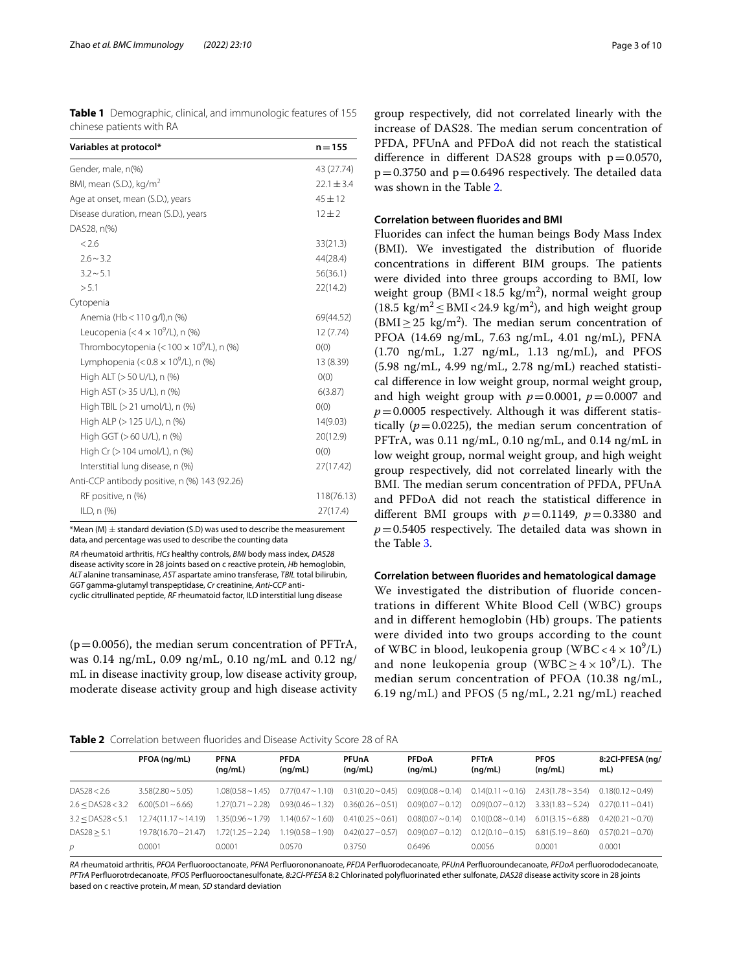<span id="page-2-0"></span>**Table 1** Demographic, clinical, and immunologic features of 155 chinese patients with RA

| Variables at protocol*                             | $n = 155$      |
|----------------------------------------------------|----------------|
| Gender, male, n(%)                                 | 43 (27.74)     |
| BMI, mean (S.D.), $kg/m2$                          | $22.1 \pm 3.4$ |
| Age at onset, mean (S.D.), years                   | $45 + 12$      |
| Disease duration, mean (S.D.), years               | $12 + 2$       |
| DAS28, n(%)                                        |                |
| < 2.6                                              | 33(21.3)       |
| $2.6 \sim 3.2$                                     | 44(28.4)       |
| $3.2 \sim 5.1$                                     | 56(36.1)       |
| > 5.1                                              | 22(14.2)       |
| Cytopenia                                          |                |
| Anemia (Hb < 110 g/l), n (%)                       | 69(44.52)      |
| Leucopenia (<4 $\times$ 10 <sup>9</sup> /L), n (%) | 12 (7.74)      |
| Thrombocytopenia (< $100 \times 10^9$ /L), n (%)   | O(0)           |
| Lymphopenia (< $0.8 \times 10^9$ /L), n (%)        | 13 (8.39)      |
| High ALT (> 50 U/L), n (%)                         | O(0)           |
| High AST (> 35 U/L), n (%)                         | 6(3.87)        |
| High TBIL (> 21 umol/L), n (%)                     | O(0)           |
| High ALP (> 125 U/L), n (%)                        | 14(9.03)       |
| High GGT (>60 U/L), n (%)                          | 20(12.9)       |
| High Cr (> 104 umol/L), n (%)                      | O(0)           |
| Interstitial lung disease, n (%)                   | 27(17.42)      |
| Anti-CCP antibody positive, n (%) 143 (92.26)      |                |
| RF positive, n (%)                                 | 118(76.13)     |
| ILD, n (%)                                         | 27(17.4)       |

 $*$ Mean (M)  $\pm$  standard deviation (S.D) was used to describe the measurement data, and percentage was used to describe the counting data

*RA* rheumatoid arthritis, *HCs* healthy controls, *BMI* body mass index, *DAS28* disease activity score in 28 joints based on c reactive protein, *Hb* hemoglobin, *ALT* alanine transaminase, *AST* aspartate amino transferase, *TBIL* total bilirubin, *GGT* gamma-glutamyl transpeptidase, *Cr* creatinine, *Anti-CCP* anticyclic citrullinated peptide, *RF* rheumatoid factor, ILD interstitial lung disease

 $(p=0.0056)$ , the median serum concentration of PFTrA, was 0.14 ng/mL, 0.09 ng/mL, 0.10 ng/mL and 0.12 ng/ mL in disease inactivity group, low disease activity group, moderate disease activity group and high disease activity

group respectively, did not correlated linearly with the increase of DAS28. The median serum concentration of PFDA, PFUnA and PFDoA did not reach the statistical difference in different DAS28 groups with  $p=0.0570$ ,  $p=0.3750$  and  $p=0.6496$  respectively. The detailed data was shown in the Table [2.](#page-2-1)

# **Correlation between fuorides and BMI**

Fluorides can infect the human beings Body Mass Index (BMI). We investigated the distribution of fuoride concentrations in different BIM groups. The patients were divided into three groups according to BMI, low weight group ( $BMI < 18.5$  kg/m<sup>2</sup>), normal weight group  $(18.5 \text{ kg/m}^2 \leq \text{BMI} < 24.9 \text{ kg/m}^2)$ , and high weight group  $(BMI \geq 25 \text{ kg/m}^2)$ . The median serum concentration of PFOA (14.69 ng/mL, 7.63 ng/mL, 4.01 ng/mL), PFNA (1.70 ng/mL, 1.27 ng/mL, 1.13 ng/mL), and PFOS (5.98 ng/mL, 4.99 ng/mL, 2.78 ng/mL) reached statistical diference in low weight group, normal weight group, and high weight group with  $p=0.0001$ ,  $p=0.0007$  and  $p=0.0005$  respectively. Although it was different statistically  $(p=0.0225)$ , the median serum concentration of PFTrA, was 0.11 ng/mL, 0.10 ng/mL, and 0.14 ng/mL in low weight group, normal weight group, and high weight group respectively, did not correlated linearly with the BMI. The median serum concentration of PFDA, PFUnA and PFDoA did not reach the statistical diference in different BMI groups with  $p=0.1149$ ,  $p=0.3380$  and  $p=0.5405$  respectively. The detailed data was shown in the Table [3](#page-3-0).

# **Correlation between fuorides and hematological damage**

We investigated the distribution of fluoride concentrations in different White Blood Cell (WBC) groups and in different hemoglobin (Hb) groups. The patients were divided into two groups according to the count of WBC in blood, leukopenia group (WBC <  $4 \times 10^9$ /L) and none leukopenia group (WBC $\geq 4 \times 10^9$ /L). The median serum concentration of PFOA (10.38 ng/mL, 6.19 ng/mL) and PFOS (5 ng/mL, 2.21 ng/mL) reached

<span id="page-2-1"></span>

| Table 2 Correlation between fluorides and Disease Activity Score 28 of RA |  |  |
|---------------------------------------------------------------------------|--|--|
|---------------------------------------------------------------------------|--|--|

|                       | PFOA (ng/mL)                 | <b>PFNA</b><br>(nq/mL) | <b>PFDA</b><br>(nq/mL)                        | <b>PFUnA</b><br>(nq/mL) | <b>PFDoA</b><br>(nq/mL) | <b>PFTrA</b><br>(nq/mL)                       | <b>PFOS</b><br>(ng/mL) | 8:2Cl-PFESA (ng/<br>mL)   |
|-----------------------|------------------------------|------------------------|-----------------------------------------------|-------------------------|-------------------------|-----------------------------------------------|------------------------|---------------------------|
| DAS28 < 2.6           | $3.58(2.80 \sim 5.05)$       |                        | $1.08(0.58 \sim 1.45)$ $0.77(0.47 \sim 1.10)$ | $0.31(0.20 \sim 0.45)$  |                         | $0.09(0.08 \sim 0.14)$ $0.14(0.11 \sim 0.16)$ | $2.43(1.78 \sim 3.54)$ | $0.18(0.12 \sim 0.49)$    |
| $2.6 <$ DAS28 $<$ 3.2 | $6.00(5.01 \sim 6.66)$       | $1.27(0.71 \sim 2.28)$ | $0.93(0.46 \sim 1.32)$                        | $0.36(0.26 \sim 0.51)$  | $0.09(0.07 - 0.12)$     | $0.09(0.07 - 0.12)$                           | $3.33(1.83 \sim 5.24)$ | $0.27(0.11 \sim 0.41)$    |
| $3.2 <$ DAS28 $<$ 5.1 | $12.74(11.17 \sim 14.19)$    | $1.35(0.96 \sim 1.79)$ | $1.14(0.67 - 1.60)$                           | $0.41(0.25 \sim 0.61)$  | $0.08(0.07 - 0.14)$     | $0.10(0.08 - 0.14)$                           | $6.01(3.15 \sim 6.88)$ | $0.42(0.21 \sim 0.70)$    |
| DAS28 > 5.1           | $19.78(16.70 \approx 21.47)$ | $1.72(1.25 \sim 2.24)$ | $1.19(0.58 \sim 1.90)$                        | $0.42(0.27 - 0.57)$     | $0.09(0.07 - 0.12)$     | $0.12(0.10 \sim 0.15)$                        | $6.81(5.19 \sim 8.60)$ | $0.57(0.21 \approx 0.70)$ |
| р                     | 0.0001                       | 0.0001                 | 0.0570                                        | 0.3750                  | 0.6496                  | 0.0056                                        | 0.0001                 | 0.0001                    |

*RA* rheumatoid arthritis, *PFOA* Perfuorooctanoate, *PFNA* Perfuorononanoate, *PFDA* Perfuorodecanoate, *PFUnA* Perfuoroundecanoate, *PFDoA* perfuorododecanoate, *PFTrA* Perfuorotrdecanoate, *PFOS* Perfuorooctanesulfonate, *8:2Cl-PFESA* 8:2 Chlorinated polyfuorinated ether sulfonate, *DAS28* disease activity score in 28 joints based on c reactive protein, *M* mean, *SD* standard deviation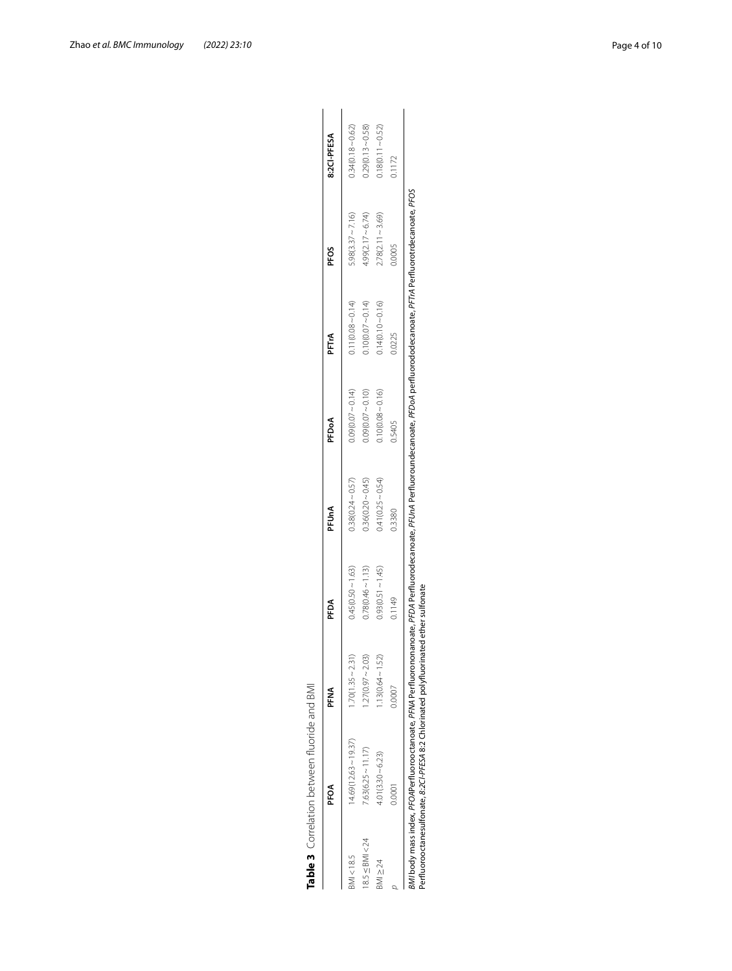|                      | PFOA                   | na<br>F             | PFDA                | PFUnA               | PFDoA               | PFTrA               | PFOS                | 8:2CI-PFESA         |
|----------------------|------------------------|---------------------|---------------------|---------------------|---------------------|---------------------|---------------------|---------------------|
| BMI < 18.5           | $14.69(12.63 - 19.37)$ | $1.70(1.35 - 2.31)$ | $0.45(0.50 - 1.63)$ | $0.38(0.24 - 0.57)$ | $0.09(0.07 - 0.14)$ | $0.11(0.08 - 0.14)$ | $5.98(3.37 - 7.16)$ | $0.34(0.18 - 0.62)$ |
| $18.5 \leq$ BMI < 24 | $7.63(6.25 - 11.17)$   | $.27(0.97 - 2.03)$  | $0.78(0.46 - 1.13)$ | $0.36(0.20 - 0.45)$ | $0.09(0.07 - 0.10)$ | $0.10(0.07 - 0.14)$ | $4.99(2.17 - 6.74)$ | $0.29(0.13 - 0.58)$ |
| $3M1 \geq 24$        | $4.01(3.30 - 6.23)$    | $.13(0.64 - 1.52)$  | $0.93(0.51 - 1.45)$ | $0.41(0.25 - 0.54)$ | $0.10(0.08 - 0.16)$ | $1.14(0.10 - 0.16)$ | $.78(2.11 - 3.69)$  | $(18(0.11 - 0.52))$ |
|                      | 00001                  | 0.0007              | 0.1149              | 0.3380              | 0.5405              | 0.0225              | 0.0005              | 0.1172              |

<span id="page-3-0"></span>Table 3 Correlation between fluoride and BMI

*BMI* body mass index, PFOAPerfluorooctanoate, PFM Perfluoronanoate, PFMA Perfluoroundecanoate, PFDoA perfluorododecanoate, PFTA Perfluorotrdecanoate, PFOS<br>Perfluorooctanesulfonate, 82CHPFESA 8:2 Chlorinated polyfluorinate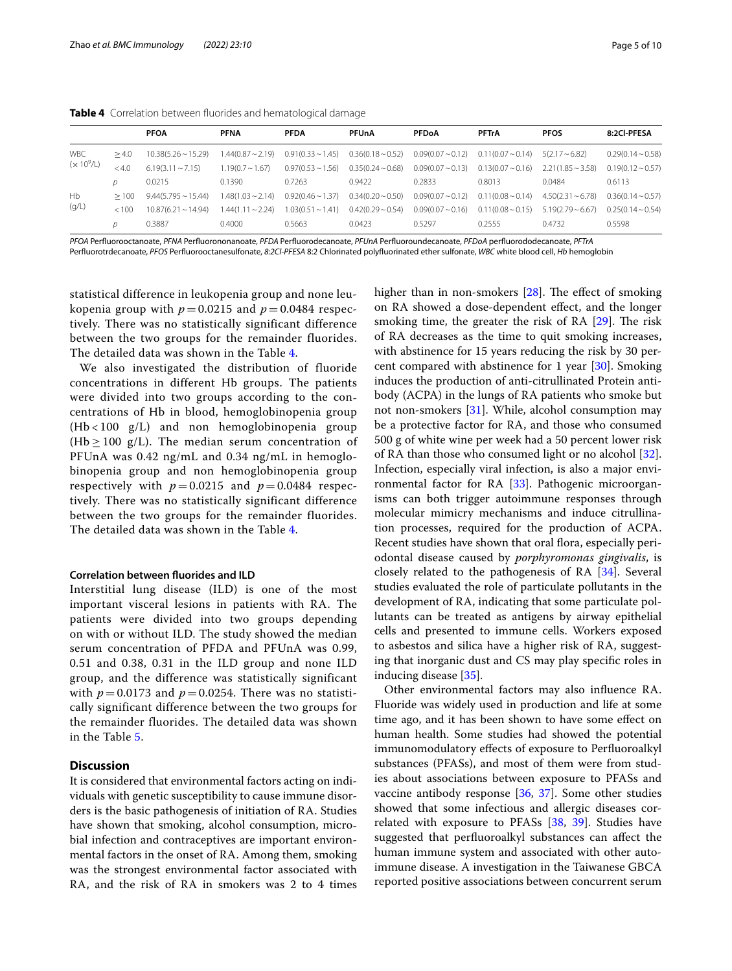<span id="page-4-0"></span>

|  | Table 4 Correlation between fluorides and hematological damage |  |  |  |  |  |  |
|--|----------------------------------------------------------------|--|--|--|--|--|--|
|--|----------------------------------------------------------------|--|--|--|--|--|--|

|              |       | <b>PFOA</b>               | <b>PFNA</b>            | <b>PFDA</b>            | <b>PFUnA</b>                                                         | <b>PFDoA</b>        | <b>PFTrA</b>        | <b>PFOS</b>            | 8:2Cl-PFESA            |
|--------------|-------|---------------------------|------------------------|------------------------|----------------------------------------------------------------------|---------------------|---------------------|------------------------|------------------------|
| <b>WBC</b>   | >4.0  | $10.38(5.26 \sim 15.29)$  | 1.44(0.87 ~ 2.19)      | $0.91(0.33 \sim 1.45)$ | $0.36(0.18 \sim 0.52)$ $0.09(0.07 \sim 0.12)$ $0.11(0.07 \sim 0.14)$ |                     |                     | $5(2.17 - 6.82)$       | $0.29(0.14 - 0.58)$    |
| $(x 10^9/L)$ | <4.0  | $6.19(3.11 \approx 7.15)$ | $1.19(0.7 \sim 1.67)$  | $0.97(0.53 \sim 1.56)$ | $0.35(0.24 \sim 0.68)$                                               | $0.09(0.07 - 0.13)$ | $0.13(0.07 - 0.16)$ | $2.21(1.85 \sim 3.58)$ | $0.19(0.12 \sim 0.57)$ |
|              |       | 0.0215                    | 0.1390                 | 0.7263                 | 0.9422                                                               | 0.2833              | 0.8013              | 0.0484                 | 0.6113                 |
| Hb           | >100  | $9.44(5.795 \sim 15.44)$  | $1.48(1.03 \sim 2.14)$ | $0.92(0.46 \sim 1.37)$ | $0.34(0.20 - 0.50)$                                                  | $0.09(0.07 - 0.12)$ | $0.11(0.08 - 0.14)$ | $4.50(2.31 \sim 6.78)$ | $0.36(0.14 \sim 0.57)$ |
| (g/L)        | < 100 | $10.87(6.21 \sim 14.94)$  | $1.44(1.11 \sim 2.24)$ | $1.03(0.51 \sim 1.41)$ | $0.42(0.29 - 0.54)$                                                  | $0.09(0.07 - 0.16)$ | $0.11(0.08 - 0.15)$ | $5.19(2.79 \sim 6.67)$ | $0.25(0.14 \sim 0.54)$ |
|              |       | 0.3887                    | 0.4000                 | 0.5663                 | 0.0423                                                               | 0.5297              | 0.2555              | 0.4732                 | 0.5598                 |
|              |       |                           |                        |                        |                                                                      |                     |                     |                        |                        |

*PFOA* Perfuorooctanoate, *PFNA* Perfuorononanoate, *PFDA* Perfuorodecanoate, *PFUnA* Perfuoroundecanoate, *PFDoA* perfuorododecanoate, *PFTrA*

Perfuorotrdecanoate, *PFOS* Perfuorooctanesulfonate, *8:2Cl-PFESA* 8:2 Chlorinated polyfuorinated ether sulfonate, *WBC* white blood cell, *Hb* hemoglobin

statistical difference in leukopenia group and none leukopenia group with  $p = 0.0215$  and  $p = 0.0484$  respectively. There was no statistically significant difference between the two groups for the remainder fluorides. The detailed data was shown in the Table [4](#page-4-0).

We also investigated the distribution of fluoride concentrations in different Hb groups. The patients were divided into two groups according to the concentrations of Hb in blood, hemoglobinopenia group (Hb < 100 g/L) and non hemoglobinopenia group (Hb  $\geq$  100 g/L). The median serum concentration of PFUnA was 0.42 ng/mL and 0.34 ng/mL in hemoglobinopenia group and non hemoglobinopenia group respectively with  $p = 0.0215$  and  $p = 0.0484$  respectively. There was no statistically significant difference between the two groups for the remainder fluorides. The detailed data was shown in the Table [4](#page-4-0).

## **Correlation between fuorides and ILD**

Interstitial lung disease (ILD) is one of the most important visceral lesions in patients with RA. The patients were divided into two groups depending on with or without ILD. The study showed the median serum concentration of PFDA and PFUnA was 0.99, 0.51 and 0.38, 0.31 in the ILD group and none ILD group, and the difference was statistically significant with  $p = 0.0173$  and  $p = 0.0254$ . There was no statistically significant difference between the two groups for the remainder fluorides. The detailed data was shown in the Table [5.](#page-5-0)

# **Discussion**

It is considered that environmental factors acting on individuals with genetic susceptibility to cause immune disorders is the basic pathogenesis of initiation of RA. Studies have shown that smoking, alcohol consumption, microbial infection and contraceptives are important environmental factors in the onset of RA. Among them, smoking was the strongest environmental factor associated with RA, and the risk of RA in smokers was 2 to 4 times higher than in non-smokers  $[28]$  $[28]$  $[28]$ . The effect of smoking on RA showed a dose-dependent efect, and the longer smoking time, the greater the risk of RA  $[29]$  $[29]$ . The risk of RA decreases as the time to quit smoking increases, with abstinence for 15 years reducing the risk by 30 percent compared with abstinence for 1 year [\[30\]](#page-9-17). Smoking induces the production of anti-citrullinated Protein antibody (ACPA) in the lungs of RA patients who smoke but not non-smokers [\[31](#page-9-18)]. While, alcohol consumption may be a protective factor for RA, and those who consumed 500 g of white wine per week had a 50 percent lower risk of RA than those who consumed light or no alcohol [\[32](#page-9-19)]. Infection, especially viral infection, is also a major environmental factor for RA [[33](#page-9-20)]. Pathogenic microorganisms can both trigger autoimmune responses through molecular mimicry mechanisms and induce citrullination processes, required for the production of ACPA. Recent studies have shown that oral flora, especially periodontal disease caused by *porphyromonas gingivalis*, is closely related to the pathogenesis of RA [\[34](#page-9-21)]. Several studies evaluated the role of particulate pollutants in the development of RA, indicating that some particulate pollutants can be treated as antigens by airway epithelial cells and presented to immune cells. Workers exposed to asbestos and silica have a higher risk of RA, suggesting that inorganic dust and CS may play specifc roles in inducing disease [[35\]](#page-9-22).

Other environmental factors may also infuence RA. Fluoride was widely used in production and life at some time ago, and it has been shown to have some efect on human health. Some studies had showed the potential immunomodulatory efects of exposure to Perfuoroalkyl substances (PFASs), and most of them were from studies about associations between exposure to PFASs and vaccine antibody response [\[36](#page-9-23), [37](#page-9-24)]. Some other studies showed that some infectious and allergic diseases correlated with exposure to PFASs [[38,](#page-9-25) [39](#page-9-26)]. Studies have suggested that perfuoroalkyl substances can afect the human immune system and associated with other autoimmune disease. A investigation in the Taiwanese GBCA reported positive associations between concurrent serum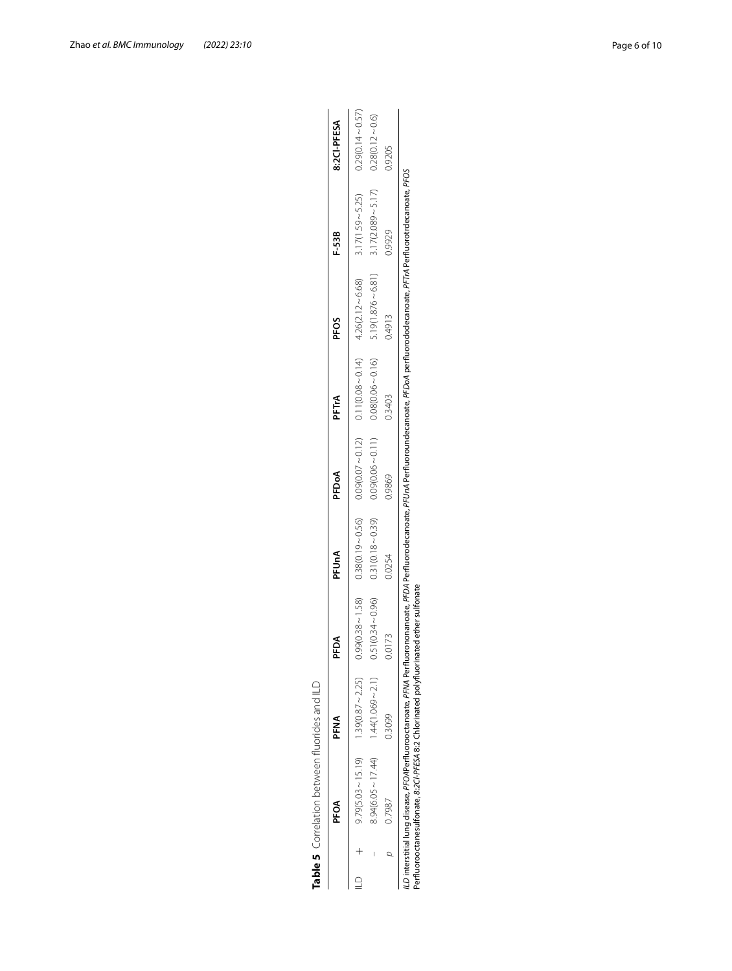<span id="page-5-0"></span>

| j                                                    |
|------------------------------------------------------|
| ţ                                                    |
|                                                      |
|                                                      |
| Chrolithiontham thomas in the loss.<br>)<br>DN<br>DN |
| I                                                    |
|                                                      |
| )<br>2                                               |
|                                                      |
|                                                      |

|  | <b>PFOA</b>                                                                                                                                                                                                                                                                                | <b>PFNA</b>            | PFDA                | PFUnA  | PFDoA                                                                                                 | PFTrA               | <b>PFOS</b>                             | F-53B                                           | 8:2CI-PFESA         |
|--|--------------------------------------------------------------------------------------------------------------------------------------------------------------------------------------------------------------------------------------------------------------------------------------------|------------------------|---------------------|--------|-------------------------------------------------------------------------------------------------------|---------------------|-----------------------------------------|-------------------------------------------------|---------------------|
|  | $9.79(5.03 \sim 15.19)$                                                                                                                                                                                                                                                                    | $1.39(0.87 \sim 2.25)$ |                     |        | $0.38 \sim 1.58$ and $0.56$ and $0.50 \sim 0.58$ and $0.58$ and $0.07 \sim 0.01$ and $0.07 \sim 0.01$ |                     | $0.11(0.08 - 0.14)$ $4.26(2.12 - 6.68)$ | $3.17(1.59 - 5.25)$                             | $0.29(0.14 - 0.57)$ |
|  | $8.94(6.05 \sim 17.44)$                                                                                                                                                                                                                                                                    | $1.44(1.069 - 2.1)$    | $0.51(0.34 - 0.96)$ |        | $0.31(0.18 \sim 0.39)$ $0.09(0.06 \sim 0.11)$                                                         | $0.08(0.06 - 0.16)$ |                                         | $5.19(1.876 \sim 6.81)$ $3.17(2.089 \sim 5.17)$ | $0.28(0.12 - 0.6)$  |
|  | 0.7987                                                                                                                                                                                                                                                                                     | 0.3099                 | 0.0173              | 0.0254 | 0.9869                                                                                                | 0.3403              | 0.4913                                  | 0.9929                                          | 0.9205              |
|  | LD interstitial lung disease, PFOAPerfluorooctanoate, PFMA Perfluorononanoate, PFUMA Perfluoroundecanoate, PFDoA perfluorododecanoate, PFTA Perfluorotrdecanoate, PFTA Perfluorotrdecanoate, PFOS<br>Perfluorooctanesulfonate, 8:2Cl-PFESA 8:2 Chlorinated polyfluorinated ether sulfonate |                        |                     |        |                                                                                                       |                     |                                         |                                                 |                     |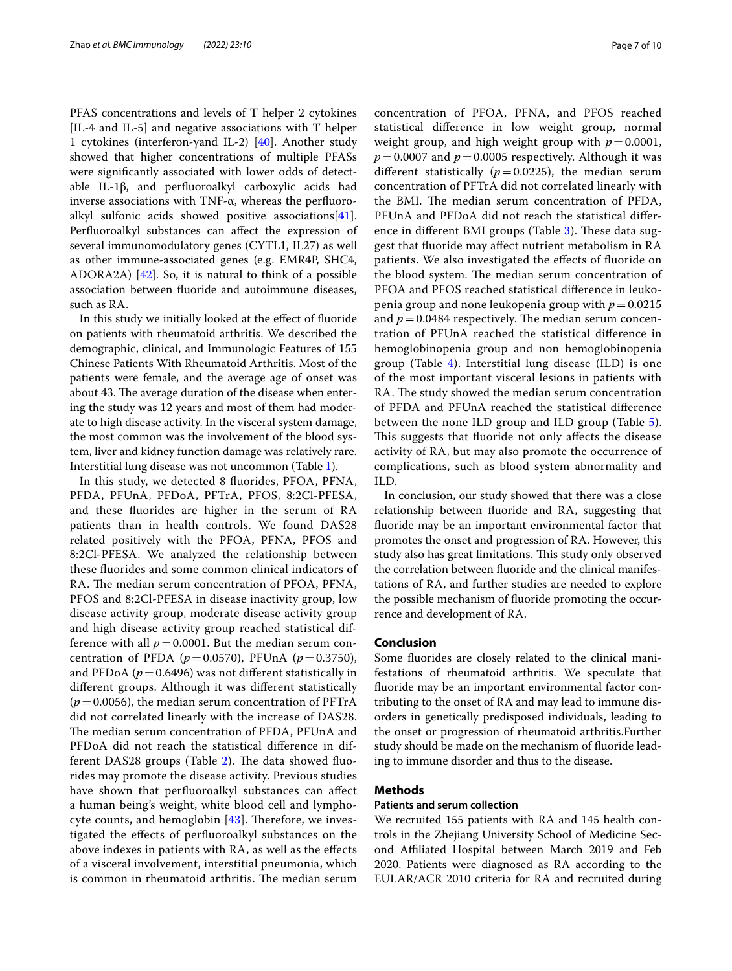PFAS concentrations and levels of T helper 2 cytokines [IL-4 and IL-5] and negative associations with T helper 1 cytokines (interferon-γand IL-2) [\[40\]](#page-9-27). Another study showed that higher concentrations of multiple PFASs were signifcantly associated with lower odds of detectable IL-1β, and perfuoroalkyl carboxylic acids had inverse associations with TNF-α, whereas the perfuoroalkyl sulfonic acids showed positive associations[\[41](#page-9-28)]. Perfuoroalkyl substances can afect the expression of several immunomodulatory genes (CYTL1, IL27) as well as other immune-associated genes (e.g. EMR4P, SHC4, ADORA2A)  $[42]$ . So, it is natural to think of a possible association between fuoride and autoimmune diseases, such as RA.

In this study we initially looked at the efect of fuoride on patients with rheumatoid arthritis. We described the demographic, clinical, and Immunologic Features of 155 Chinese Patients With Rheumatoid Arthritis. Most of the patients were female, and the average age of onset was about 43. The average duration of the disease when entering the study was 12 years and most of them had moderate to high disease activity. In the visceral system damage, the most common was the involvement of the blood system, liver and kidney function damage was relatively rare. Interstitial lung disease was not uncommon (Table [1\)](#page-2-0).

In this study, we detected 8 fuorides, PFOA, PFNA, PFDA, PFUnA, PFDoA, PFTrA, PFOS, 8:2Cl-PFESA, and these fuorides are higher in the serum of RA patients than in health controls. We found DAS28 related positively with the PFOA, PFNA, PFOS and 8:2Cl-PFESA. We analyzed the relationship between these fuorides and some common clinical indicators of RA. The median serum concentration of PFOA, PFNA, PFOS and 8:2Cl-PFESA in disease inactivity group, low disease activity group, moderate disease activity group and high disease activity group reached statistical difference with all  $p = 0.0001$ . But the median serum concentration of PFDA ( $p = 0.0570$ ), PFUnA ( $p = 0.3750$ ), and PFDoA ( $p = 0.6496$ ) was not different statistically in diferent groups. Although it was diferent statistically  $(p=0.0056)$ , the median serum concentration of PFTrA did not correlated linearly with the increase of DAS28. The median serum concentration of PFDA, PFUnA and PFDoA did not reach the statistical diference in dif-ferent DAS28 groups (Table [2\)](#page-2-1). The data showed fluorides may promote the disease activity. Previous studies have shown that perfuoroalkyl substances can afect a human being's weight, white blood cell and lymphocyte counts, and hemoglobin  $[43]$  $[43]$  $[43]$ . Therefore, we investigated the efects of perfuoroalkyl substances on the above indexes in patients with RA, as well as the efects of a visceral involvement, interstitial pneumonia, which is common in rheumatoid arthritis. The median serum concentration of PFOA, PFNA, and PFOS reached statistical diference in low weight group, normal weight group, and high weight group with  $p=0.0001$ ,  $p = 0.0007$  and  $p = 0.0005$  respectively. Although it was different statistically  $(p=0.0225)$ , the median serum concentration of PFTrA did not correlated linearly with the BMI. The median serum concentration of PFDA, PFUnA and PFDoA did not reach the statistical difer-ence in different BMI groups (Table [3](#page-3-0)). These data suggest that fuoride may afect nutrient metabolism in RA patients. We also investigated the efects of fuoride on the blood system. The median serum concentration of PFOA and PFOS reached statistical diference in leukopenia group and none leukopenia group with  $p=0.0215$ and  $p = 0.0484$  respectively. The median serum concentration of PFUnA reached the statistical diference in hemoglobinopenia group and non hemoglobinopenia group (Table  $4$ ). Interstitial lung disease (ILD) is one of the most important visceral lesions in patients with RA. The study showed the median serum concentration of PFDA and PFUnA reached the statistical diference between the none ILD group and ILD group (Table [5](#page-5-0)). This suggests that fluoride not only affects the disease activity of RA, but may also promote the occurrence of complications, such as blood system abnormality and ILD.

In conclusion, our study showed that there was a close relationship between fuoride and RA, suggesting that fuoride may be an important environmental factor that promotes the onset and progression of RA. However, this study also has great limitations. This study only observed the correlation between fuoride and the clinical manifestations of RA, and further studies are needed to explore the possible mechanism of fuoride promoting the occurrence and development of RA.

#### **Conclusion**

Some fuorides are closely related to the clinical manifestations of rheumatoid arthritis. We speculate that fuoride may be an important environmental factor contributing to the onset of RA and may lead to immune disorders in genetically predisposed individuals, leading to the onset or progression of rheumatoid arthritis.Further study should be made on the mechanism of fuoride leading to immune disorder and thus to the disease.

# **Methods**

#### **Patients and serum collection**

We recruited 155 patients with RA and 145 health controls in the Zhejiang University School of Medicine Second Afliated Hospital between March 2019 and Feb 2020. Patients were diagnosed as RA according to the EULAR/ACR 2010 criteria for RA and recruited during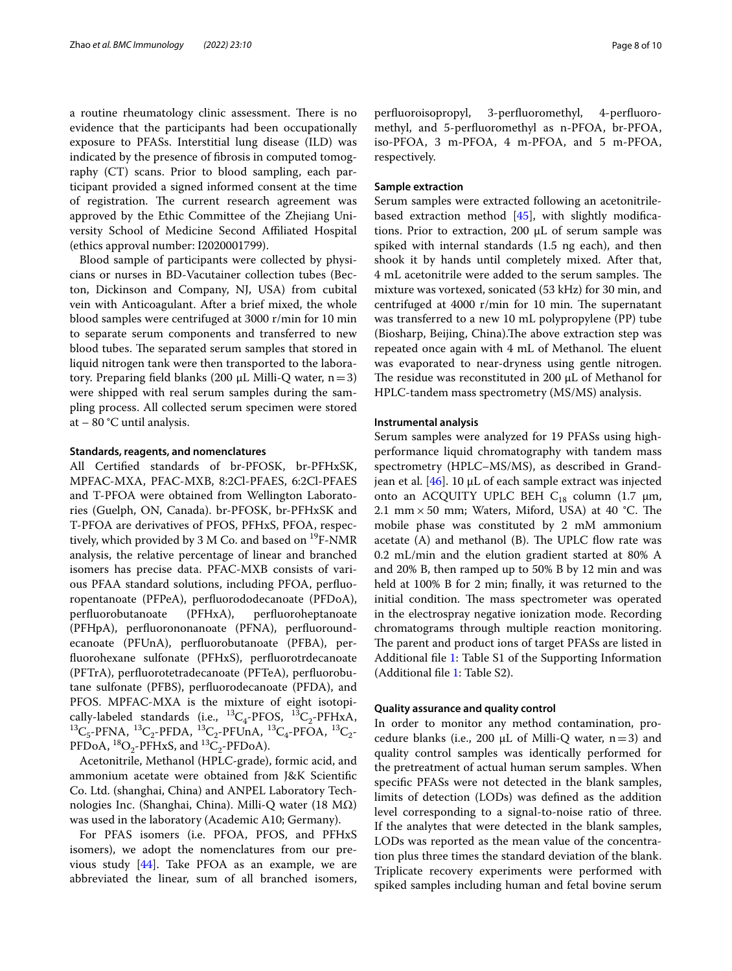a routine rheumatology clinic assessment. There is no evidence that the participants had been occupationally exposure to PFASs. Interstitial lung disease (ILD) was indicated by the presence of fbrosis in computed tomography (CT) scans. Prior to blood sampling, each participant provided a signed informed consent at the time of registration. The current research agreement was approved by the Ethic Committee of the Zhejiang University School of Medicine Second Afliated Hospital (ethics approval number: I2020001799).

Blood sample of participants were collected by physicians or nurses in BD-Vacutainer collection tubes (Becton, Dickinson and Company, NJ, USA) from cubital vein with Anticoagulant. After a brief mixed, the whole blood samples were centrifuged at 3000 r/min for 10 min to separate serum components and transferred to new blood tubes. The separated serum samples that stored in liquid nitrogen tank were then transported to the laboratory. Preparing field blanks (200 μL Milli-Q water,  $n=3$ ) were shipped with real serum samples during the sampling process. All collected serum specimen were stored at  $-80$  °C until analysis.

#### **Standards, reagents, and nomenclatures**

All Certifed standards of br-PFOSK, br-PFHxSK, MPFAC-MXA, PFAC-MXB, 8:2Cl-PFAES, 6:2Cl-PFAES and T-PFOA were obtained from Wellington Laboratories (Guelph, ON, Canada). br-PFOSK, br-PFHxSK and T-PFOA are derivatives of PFOS, PFHxS, PFOA, respectively, which provided by 3 M Co. and based on  $^{19}F\text{-NMR}$ analysis, the relative percentage of linear and branched isomers has precise data. PFAC-MXB consists of various PFAA standard solutions, including PFOA, perfuoropentanoate (PFPeA), perfuorododecanoate (PFDoA), perfuorobutanoate (PFHxA), perfuoroheptanoate (PFHpA), perfuorononanoate (PFNA), perfuoroundecanoate (PFUnA), perfuorobutanoate (PFBA), perfuorohexane sulfonate (PFHxS), perfuorotrdecanoate (PFTrA), perfuorotetradecanoate (PFTeA), perfuorobutane sulfonate (PFBS), perfuorodecanoate (PFDA), and PFOS. MPFAC-MXA is the mixture of eight isotopically-labeled standards (i.e.,  ${}^{13}C_4$ -PFOS,  ${}^{13}C_2$ -PFHxA,  ${}^{13}C_{5}$ -PFNA,  ${}^{13}C_{2}$ -PFDA,  ${}^{13}C_{2}$ -PFUnA,  ${}^{13}C_{4}$ -PFOA,  ${}^{13}C_{2}$ -PFDoA,  ${}^{18}O_2$ -PFHxS, and  ${}^{13}C_2$ -PFDoA).

Acetonitrile, Methanol (HPLC-grade), formic acid, and ammonium acetate were obtained from J&K Scientifc Co. Ltd. (shanghai, China) and ANPEL Laboratory Technologies Inc. (Shanghai, China). Milli-Q water (18 MΩ) was used in the laboratory (Academic A10; Germany).

For PFAS isomers (i.e. PFOA, PFOS, and PFHxS isomers), we adopt the nomenclatures from our previous study [\[44](#page-9-31)]. Take PFOA as an example, we are abbreviated the linear, sum of all branched isomers, perfuoroisopropyl, 3-perfuoromethyl, 4-perfuoromethyl, and 5-perfuoromethyl as n-PFOA, br-PFOA, iso-PFOA, 3 m-PFOA, 4 m-PFOA, and 5 m-PFOA, respectively.

## **Sample extraction**

Serum samples were extracted following an acetonitrilebased extraction method  $[45]$  $[45]$  $[45]$ , with slightly modifications. Prior to extraction, 200 μL of serum sample was spiked with internal standards (1.5 ng each), and then shook it by hands until completely mixed. After that, 4 mL acetonitrile were added to the serum samples. The mixture was vortexed, sonicated (53 kHz) for 30 min, and centrifuged at  $4000$  r/min for 10 min. The supernatant was transferred to a new 10 mL polypropylene (PP) tube (Biosharp, Beijing, China). The above extraction step was repeated once again with 4 mL of Methanol. The eluent was evaporated to near-dryness using gentle nitrogen. The residue was reconstituted in 200 μL of Methanol for HPLC-tandem mass spectrometry (MS/MS) analysis.

#### **Instrumental analysis**

Serum samples were analyzed for 19 PFASs using highperformance liquid chromatography with tandem mass spectrometry (HPLC–MS/MS), as described in Grandjean et al.  $[46]$  $[46]$ . 10 μL of each sample extract was injected onto an ACQUITY UPLC BEH C<sub>18</sub> column (1.7 μm, 2.1 mm  $\times$  50 mm; Waters, Miford, USA) at 40 °C. The mobile phase was constituted by 2 mM ammonium acetate  $(A)$  and methanol  $(B)$ . The UPLC flow rate was 0.2 mL/min and the elution gradient started at 80% A and 20% B, then ramped up to 50% B by 12 min and was held at 100% B for 2 min; fnally, it was returned to the initial condition. The mass spectrometer was operated in the electrospray negative ionization mode. Recording chromatograms through multiple reaction monitoring. The parent and product ions of target PFASs are listed in Additional fle [1](#page-8-10): Table S1 of the Supporting Information (Additional fle [1](#page-8-10): Table S2).

## **Quality assurance and quality control**

In order to monitor any method contamination, procedure blanks (i.e., 200  $\mu$ L of Milli-Q water, n=3) and quality control samples was identically performed for the pretreatment of actual human serum samples. When specifc PFASs were not detected in the blank samples, limits of detection (LODs) was defned as the addition level corresponding to a signal-to-noise ratio of three. If the analytes that were detected in the blank samples, LODs was reported as the mean value of the concentration plus three times the standard deviation of the blank. Triplicate recovery experiments were performed with spiked samples including human and fetal bovine serum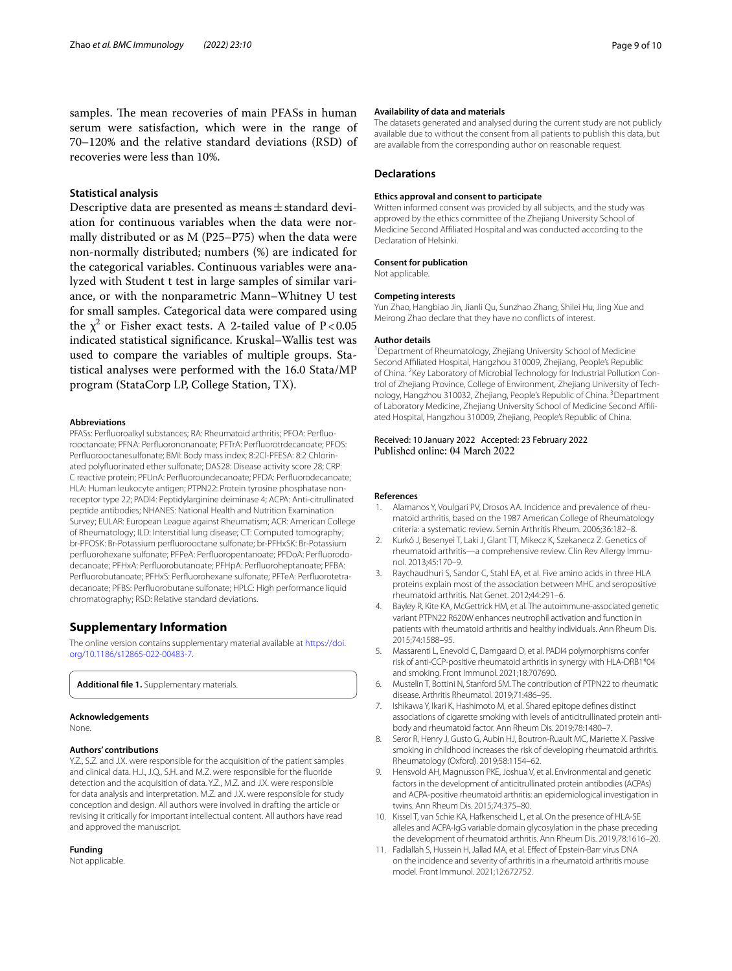samples. The mean recoveries of main PFASs in human serum were satisfaction, which were in the range of 70–120% and the relative standard deviations (RSD) of recoveries were less than 10%.

# **Statistical analysis**

Descriptive data are presented as means±standard deviation for continuous variables when the data were normally distributed or as M (P25–P75) when the data were non-normally distributed; numbers (%) are indicated for the categorical variables. Continuous variables were analyzed with Student t test in large samples of similar variance, or with the nonparametric Mann–Whitney U test for small samples. Categorical data were compared using the  $\chi^2$  or Fisher exact tests. A 2-tailed value of P<0.05 indicated statistical signifcance. Kruskal–Wallis test was used to compare the variables of multiple groups. Statistical analyses were performed with the 16.0 Stata/MP program (StataCorp LP, College Station, TX).

#### **Abbreviations**

PFASs: Perfuoroalkyl substances; RA: Rheumatoid arthritis; PFOA: Perfuorooctanoate; PFNA: Perfuorononanoate; PFTrA: Perfuorotrdecanoate; PFOS: Perfuorooctanesulfonate; BMI: Body mass index; 8:2Cl-PFESA: 8:2 Chlorinated polyfuorinated ether sulfonate; DAS28: Disease activity score 28; CRP: C reactive protein; PFUnA: Perfuoroundecanoate; PFDA: Perfuorodecanoate; HLA: Human leukocyte antigen; PTPN22: Protein tyrosine phosphatase nonreceptor type 22; PADI4: Peptidylarginine deiminase 4; ACPA: Anti-citrullinated peptide antibodies; NHANES: National Health and Nutrition Examination Survey; EULAR: European League against Rheumatism; ACR: American College of Rheumatology; ILD: Interstitial lung disease; CT: Computed tomography; br-PFOSK: Br-Potassium perfuorooctane sulfonate; br-PFHxSK: Br-Potassium perfuorohexane sulfonate; PFPeA: Perfuoropentanoate; PFDoA: Perfuorododecanoate; PFHxA: Perfuorobutanoate; PFHpA: Perfuoroheptanoate; PFBA: Perfuorobutanoate; PFHxS: Perfuorohexane sulfonate; PFTeA: Perfuorotetradecanoate; PFBS: Perfuorobutane sulfonate; HPLC: High performance liquid chromatography; RSD: Relative standard deviations.

# **Supplementary Information**

The online version contains supplementary material available at [https://doi.](https://doi.org/10.1186/s12865-022-00483-7) [org/10.1186/s12865-022-00483-7](https://doi.org/10.1186/s12865-022-00483-7).

<span id="page-8-10"></span>**Additional fle 1.** Supplementary materials.

#### **Acknowledgements**

None.

#### **Authors' contributions**

Y.Z., S.Z. and J.X. were responsible for the acquisition of the patient samples and clinical data. H.J., J.Q., S.H. and M.Z. were responsible for the fuoride detection and the acquisition of data. Y.Z., M.Z. and J.X. were responsible for data analysis and interpretation. M.Z. and J.X. were responsible for study conception and design. All authors were involved in drafting the article or revising it critically for important intellectual content. All authors have read and approved the manuscript.

#### **Funding**

Not applicable.

#### **Availability of data and materials**

The datasets generated and analysed during the current study are not publicly available due to without the consent from all patients to publish this data, but are available from the corresponding author on reasonable request.

#### **Declarations**

#### **Ethics approval and consent to participate**

Written informed consent was provided by all subjects, and the study was approved by the ethics committee of the Zhejiang University School of Medicine Second Afliated Hospital and was conducted according to the Declaration of Helsinki.

#### **Consent for publication**

Not applicable.

#### **Competing interests**

Yun Zhao, Hangbiao Jin, Jianli Qu, Sunzhao Zhang, Shilei Hu, Jing Xue and Meirong Zhao declare that they have no conficts of interest.

#### **Author details**

<sup>1</sup> Department of Rheumatology, Zhejiang University School of Medicine Second Afliated Hospital, Hangzhou 310009, Zhejiang, People's Republic of China. <sup>2</sup> Key Laboratory of Microbial Technology for Industrial Pollution Control of Zhejiang Province, College of Environment, Zhejiang University of Technology, Hangzhou 310032, Zhejiang, People's Republic of China. <sup>3</sup>Department of Laboratory Medicine, Zhejiang University School of Medicine Second Afliated Hospital, Hangzhou 310009, Zhejiang, People's Republic of China.

# Received: 10 January 2022 Accepted: 23 February 2022

#### **References**

- <span id="page-8-0"></span>Alamanos Y, Voulgari PV, Drosos AA. Incidence and prevalence of rheumatoid arthritis, based on the 1987 American College of Rheumatology criteria: a systematic review. Semin Arthritis Rheum. 2006;36:182–8.
- <span id="page-8-1"></span>2. Kurkó J, Besenyei T, Laki J, Glant TT, Mikecz K, Szekanecz Z. Genetics of rheumatoid arthritis—a comprehensive review. Clin Rev Allergy Immunol. 2013;45:170–9.
- <span id="page-8-2"></span>3. Raychaudhuri S, Sandor C, Stahl EA, et al. Five amino acids in three HLA proteins explain most of the association between MHC and seropositive rheumatoid arthritis. Nat Genet. 2012;44:291–6.
- <span id="page-8-3"></span>4. Bayley R, Kite KA, McGettrick HM, et al. The autoimmune-associated genetic variant PTPN22 R620W enhances neutrophil activation and function in patients with rheumatoid arthritis and healthy individuals. Ann Rheum Dis. 2015;74:1588–95.
- 5. Massarenti L, Enevold C, Damgaard D, et al. PADI4 polymorphisms confer risk of anti-CCP-positive rheumatoid arthritis in synergy with HLA-DRB1\*04 and smoking. Front Immunol. 2021;18:707690.
- <span id="page-8-4"></span>6. Mustelin T, Bottini N, Stanford SM. The contribution of PTPN22 to rheumatic disease. Arthritis Rheumatol. 2019;71:486–95.
- <span id="page-8-5"></span>7. Ishikawa Y, Ikari K, Hashimoto M, et al. Shared epitope defnes distinct associations of cigarette smoking with levels of anticitrullinated protein antibody and rheumatoid factor. Ann Rheum Dis. 2019;78:1480–7.
- <span id="page-8-6"></span>8. Seror R, Henry J, Gusto G, Aubin HJ, Boutron-Ruault MC, Mariette X. Passive smoking in childhood increases the risk of developing rheumatoid arthritis. Rheumatology (Oxford). 2019;58:1154–62.
- <span id="page-8-7"></span>9. Hensvold AH, Magnusson PKE, Joshua V, et al. Environmental and genetic factors in the development of anticitrullinated protein antibodies (ACPAs) and ACPA-positive rheumatoid arthritis: an epidemiological investigation in twins. Ann Rheum Dis. 2015;74:375–80.
- <span id="page-8-8"></span>10. Kissel T, van Schie KA, Hafkenscheid L, et al. On the presence of HLA-SE alleles and ACPA-IgG variable domain glycosylation in the phase preceding the development of rheumatoid arthritis. Ann Rheum Dis. 2019;78:1616–20.
- <span id="page-8-9"></span>11. Fadlallah S, Hussein H, Jallad MA, et al. Efect of Epstein-Barr virus DNA on the incidence and severity of arthritis in a rheumatoid arthritis mouse model. Front Immunol. 2021;12:672752.